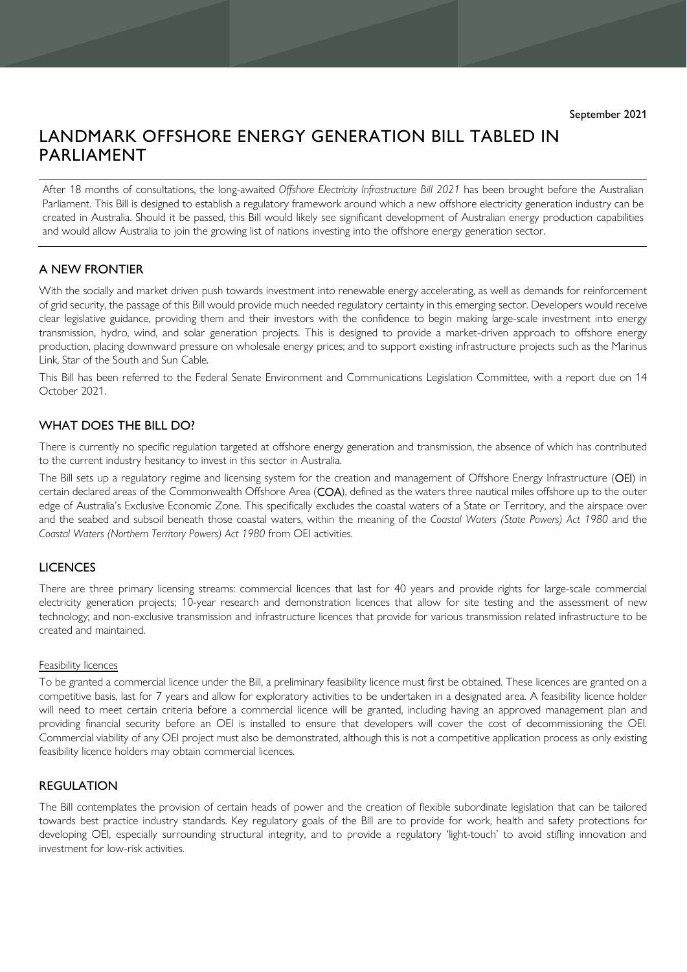# LANDMARK OFFSHORE ENERGY GENERATION BILL TABLED IN PARLIAMENT

After 18 months of consultations, the long-awaited *Offshore Electricity Infrastructure Bill 2021* has been brought before the Australian Parliament. This Bill is designed to establish a regulatory framework around which a new offshore electricity generation industry can be created in Australia. Should it be passed, this Bill would likely see significant development of Australian energy production capabilities and would allow Australia to join the growing list of nations investing into the offshore energy generation sector.

# A NEW FRONTIER

With the socially and market driven push towards investment into renewable energy accelerating, as well as demands for reinforcement of grid security, the passage of this Bill would provide much needed regulatory certainty in this emerging sector. Developers would receive clear legislative guidance, providing them and their investors with the confidence to begin making large-scale investment into energy transmission, hydro, wind, and solar generation projects. This is designed to provide a market-driven approach to offshore energy production, placing downward pressure on wholesale energy prices; and to support existing infrastructure projects such as the Marinus Link, Star of the South and Sun Cable.

This Bill has been referred to the Federal Senate Environment and Communications Legislation Committee, with a report due on 14 October 2021.

## WHAT DOES THE BILL DO?

There is currently no specific regulation targeted at offshore energy generation and transmission, the absence of which has contributed to the current industry hesitancy to invest in this sector in Australia.

The Bill sets up a regulatory regime and licensing system for the creation and management of Offshore Energy Infrastructure (OEI) in certain declared areas of the Commonwealth Offshore Area (COA), defined as the waters three nautical miles offshore up to the outer edge of Australia's Exclusive Economic Zone. This specifically excludes the coastal waters of a State or Territory, and the airspace over and the seabed and subsoil beneath those coastal waters, within the meaning of the *Coastal Waters (State Powers) Act 1980* and the *Coastal Waters (Northern Territory Powers) Act 1980* from OEI activities.

## LICENCES

There are three primary licensing streams: commercial licences that last for 40 years and provide rights for large-scale commercial electricity generation projects; 10-year research and demonstration licences that allow for site testing and the assessment of new technology; and non-exclusive transmission and infrastructure licences that provide for various transmission related infrastructure to be created and maintained.

#### Feasibility licences

To be granted a commercial licence under the Bill, a preliminary feasibility licence must first be obtained. These licences are granted on a competitive basis, last for 7 years and allow for exploratory activities to be undertaken in a designated area. A feasibility licence holder will need to meet certain criteria before a commercial licence will be granted, including having an approved management plan and providing financial security before an OEI is installed to ensure that developers will cover the cost of decommissioning the OEI. Commercial viability of any OEI project must also be demonstrated, although this is not a competitive application process as only existing feasibility licence holders may obtain commercial licences.

## REGULATION

The Bill contemplates the provision of certain heads of power and the creation of flexible subordinate legislation that can be tailored towards best practice industry standards. Key regulatory goals of the Bill are to provide for work, health and safety protections for developing OEI, especially surrounding structural integrity, and to provide a regulatory 'light-touch' to avoid stifling innovation and investment for low-risk activities.